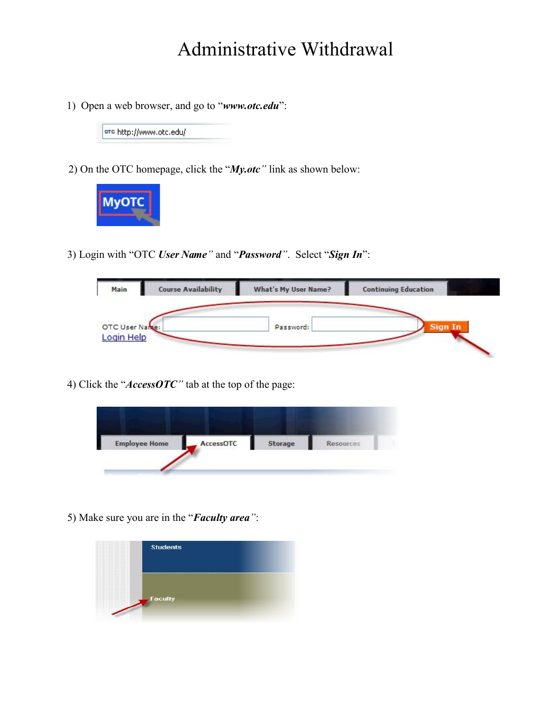## Administrative Withdrawal

1) Open a web browser, and go to "*www.otc.edu*":

ord http://www.otc.edu/

2) On the OTC homepage, click the "*My.otc"* link as shown below:



3) Login with "OTC *User Name"* and "*Password"*. Select "*Sign In*":

| Main                         | <b>Course Availability</b> | <b>What's My User Name?</b> | <b>Continuing Education</b> |
|------------------------------|----------------------------|-----------------------------|-----------------------------|
| OTC User Name:<br>Login Help |                            | Password:                   | <b>Sign In</b>              |

4) Click the "*AccessOTC"* tab at the top of the page:



5) Make sure you are in the "*Faculty area"*:

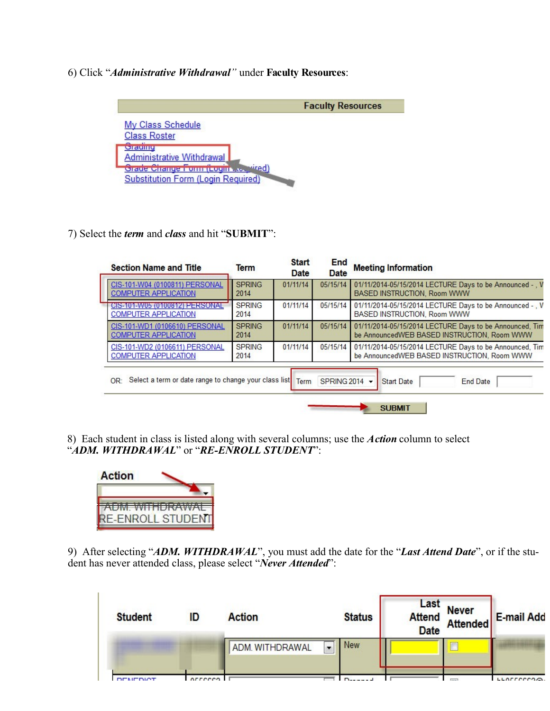## 6) Click "*Administrative Withdrawal"* under **Faculty Resources**:

|                                               | <b>Faculty Resources</b> |
|-----------------------------------------------|--------------------------|
| My Class Schedule                             |                          |
| <b>Class Roster</b>                           |                          |
| oraumu<br><b>Administrative Withdrawal</b>    |                          |
| <b>Hired</b><br>Craue Change Form (Login), to |                          |
| <b>Substitution Form (Login Required)</b>     |                          |

7) Select the *term* and *class* and hit "**SUBMIT**":

| <b>Section Name and Title</b>                                 | <b>Term</b>           | <b>Start</b><br>Date | End<br>Date | <b>Meeting Information</b>                                                                             |  |  |
|---------------------------------------------------------------|-----------------------|----------------------|-------------|--------------------------------------------------------------------------------------------------------|--|--|
| CIS-101-W04 (0100811) PERSONAL<br><b>COMPUTER APPLICATION</b> | <b>SPRING</b><br>2014 | 01/11/14             | 05/15/14    | 01/11/2014-05/15/2014 LECTURE Days to be Announced - V<br><b>BASED INSTRUCTION, Room WWW</b>           |  |  |
| CIS-101-W05 (0100812) PERSONAL<br><b>COMPUTER APPLICATION</b> | <b>SPRING</b><br>2014 | 01/11/14             | 05/15/14    | 01/11/2014-05/15/2014 LECTURE Days to be Announced - V<br>BASED INSTRUCTION, Room WWW                  |  |  |
| CIS-101-WD1 (0106610) PERSONAL<br><b>COMPUTER APPLICATION</b> | <b>SPRING</b><br>2014 | 01/11/14             | 05/15/14    | 01/11/2014-05/15/2014 LECTURE Days to be Announced, Tim<br>be AnnouncedWEB BASED INSTRUCTION, Room WWW |  |  |
| CIS-101-WD2 (0106611) PERSONAL<br><b>COMPUTER APPLICATION</b> | <b>SPRING</b><br>2014 | 01/11/14             | 05/15/14    | 01/11/2014-05/15/2014 LECTURE Days to be Announced, Tim<br>be AnnouncedWEB BASED INSTRUCTION, Room WWW |  |  |

8) Each student in class is listed along with several columns; use the *Action* column to select "*ADM. WITHDRAWAL*" or "*RE-ENROLL STUDENT*":



9) After selecting "*ADM. WITHDRAWAL*", you must add the date for the "*Last Attend Date*", or if the student has never attended class, please select "*Never Attended*":

| <b>Student</b>  | ID      | <b>Action</b>   | <b>Status</b>                          | Last<br><b>Date</b> | Attend<br>Attend Attended | <b>E-mail Add</b> |
|-----------------|---------|-----------------|----------------------------------------|---------------------|---------------------------|-------------------|
|                 |         | ADM. WITHDRAWAL | <b>New</b><br>$\overline{\phantom{0}}$ |                     |                           |                   |
| <b>DEMEDIAT</b> | arrecen |                 |                                        |                     | $T = 1$                   | LLAFFCCCO.        |